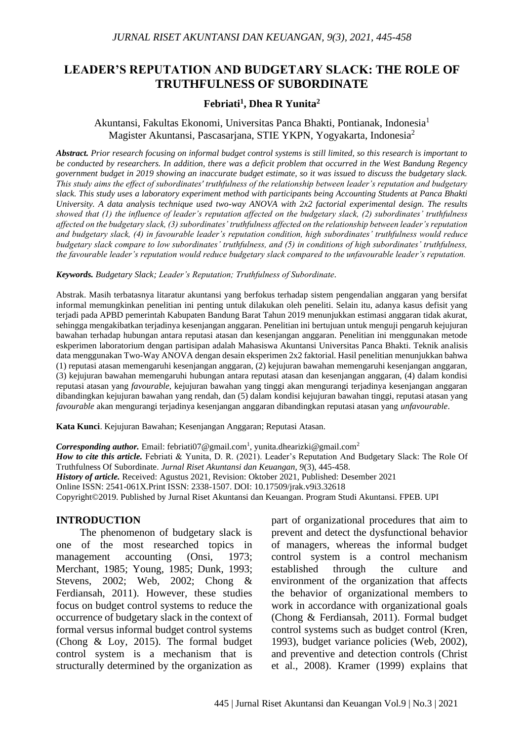# **LEADER'S REPUTATION AND BUDGETARY SLACK: THE ROLE OF TRUTHFULNESS OF SUBORDINATE**

#### **Febriati<sup>1</sup> , Dhea R Yunita<sup>2</sup>**

### Akuntansi, Fakultas Ekonomi, Universitas Panca Bhakti, Pontianak, Indonesia<sup>1</sup> Magister Akuntansi, Pascasarjana, STIE YKPN, Yogyakarta, Indonesia<sup>2</sup>

*Abstract. Prior research focusing on informal budget control systems is still limited, so this research is important to be conducted by researchers. In addition, there was a deficit problem that occurred in the West Bandung Regency government budget in 2019 showing an inaccurate budget estimate, so it was issued to discuss the budgetary slack. This study aims the effect of subordinates' truthfulness of the relationship between leader's reputation and budgetary slack. This study uses a laboratory experiment method with participants being Accounting Students at Panca Bhakti University. A data analysis technique used two-way ANOVA with 2x2 factorial experimental design. The results showed that (1) the influence of leader's reputation affected on the budgetary slack, (2) subordinates' truthfulness affected on the budgetary slack, (3) subordinates' truthfulness affected on the relationship between leader's reputation and budgetary slack, (4) in favourable leader's reputation condition, high subordinates' truthfulness would reduce budgetary slack compare to low subordinates' truthfulness, and (5) in conditions of high subordinates' truthfulness, the favourable leader's reputation would reduce budgetary slack compared to the unfavourable leader's reputation.*

#### *Keywords. Budgetary Slack; Leader's Reputation; Truthfulness of Subordinate.*

Abstrak. Masih terbatasnya litaratur akuntansi yang berfokus terhadap sistem pengendalian anggaran yang bersifat informal memungkinkan penelitian ini penting untuk dilakukan oleh peneliti. Selain itu, adanya kasus defisit yang terjadi pada APBD pemerintah Kabupaten Bandung Barat Tahun 2019 menunjukkan estimasi anggaran tidak akurat, sehingga mengakibatkan terjadinya kesenjangan anggaran. Penelitian ini bertujuan untuk menguji pengaruh kejujuran bawahan terhadap hubungan antara reputasi atasan dan kesenjangan anggaran. Penelitian ini menggunakan metode eskperimen laboratorium dengan partisipan adalah Mahasiswa Akuntansi Universitas Panca Bhakti. Teknik analisis data menggunakan Two-Way ANOVA dengan desain eksperimen 2x2 faktorial. Hasil penelitian menunjukkan bahwa (1) reputasi atasan memengaruhi kesenjangan anggaran, (2) kejujuran bawahan memengaruhi kesenjangan anggaran, (3) kejujuran bawahan memengaruhi hubungan antara reputasi atasan dan kesenjangan anggaran, (4) dalam kondisi reputasi atasan yang *favourable*, kejujuran bawahan yang tinggi akan mengurangi terjadinya kesenjangan anggaran dibandingkan kejujuran bawahan yang rendah, dan (5) dalam kondisi kejujuran bawahan tinggi, reputasi atasan yang *favourable* akan mengurangi terjadinya kesenjangan anggaran dibandingkan reputasi atasan yang *unfavourable*.

**Kata Kunci**. Kejujuran Bawahan; Kesenjangan Anggaran; Reputasi Atasan.

Corresponding author. Email: febriati07@gmail.com<sup>1</sup>, yunita.dhearizki@gmail.com<sup>2</sup> *How to cite this article.* Febriati & Yunita, D. R. (2021). Leader's Reputation And Budgetary Slack: The Role Of Truthfulness Of Subordinate. *Jurnal Riset Akuntansi dan Keuangan, 9*(3), 445-458. *History of article.* Received: Agustus 2021, Revision: Oktober 2021, Published: Desember 2021 Online ISSN: 2541-061X.Print ISSN: 2338-1507. DOI: 10.17509/jrak.v9i3.32618 Copyright©2019. Published by Jurnal Riset Akuntansi dan Keuangan. Program Studi Akuntansi. FPEB. UPI

#### **INTRODUCTION**

The phenomenon of budgetary slack is one of the most researched topics in management accounting (Onsi, 1973; Merchant, 1985; Young, 1985; Dunk, 1993; Stevens, 2002; Web, 2002; Chong & Ferdiansah, 2011). However, these studies focus on budget control systems to reduce the occurrence of budgetary slack in the context of formal versus informal budget control systems (Chong & Loy, 2015). The formal budget control system is a mechanism that is structurally determined by the organization as

part of organizational procedures that aim to prevent and detect the dysfunctional behavior of managers, whereas the informal budget control system is a control mechanism established through the culture and environment of the organization that affects the behavior of organizational members to work in accordance with organizational goals (Chong & Ferdiansah, 2011). Formal budget control systems such as budget control (Kren, 1993), budget variance policies (Web, 2002), and preventive and detection controls (Christ et al., 2008). Kramer (1999) explains that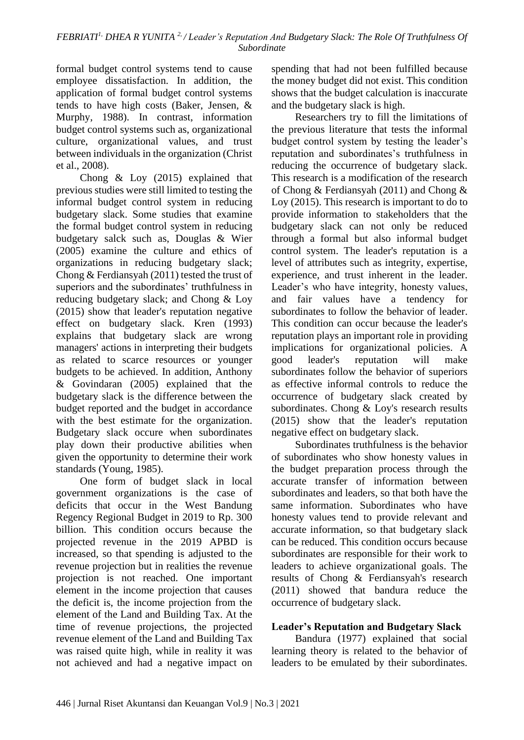formal budget control systems tend to cause employee dissatisfaction. In addition, the application of formal budget control systems tends to have high costs (Baker, Jensen, & Murphy, 1988). In contrast, information budget control systems such as, organizational culture, organizational values, and trust between individuals in the organization (Christ et al., 2008).

Chong & Loy (2015) explained that previous studies were still limited to testing the informal budget control system in reducing budgetary slack. Some studies that examine the formal budget control system in reducing budgetary salck such as, Douglas & Wier (2005) examine the culture and ethics of organizations in reducing budgetary slack; Chong & Ferdiansyah (2011) tested the trust of superiors and the subordinates' truthfulness in reducing budgetary slack; and Chong & Loy (2015) show that leader's reputation negative effect on budgetary slack. Kren (1993) explains that budgetary slack are wrong managers' actions in interpreting their budgets as related to scarce resources or younger budgets to be achieved. In addition, Anthony & Govindaran (2005) explained that the budgetary slack is the difference between the budget reported and the budget in accordance with the best estimate for the organization. Budgetary slack occure when subordinates play down their productive abilities when given the opportunity to determine their work standards (Young, 1985).

One form of budget slack in local government organizations is the case of deficits that occur in the West Bandung Regency Regional Budget in 2019 to Rp. 300 billion. This condition occurs because the projected revenue in the 2019 APBD is increased, so that spending is adjusted to the revenue projection but in realities the revenue projection is not reached. One important element in the income projection that causes the deficit is, the income projection from the element of the Land and Building Tax. At the time of revenue projections, the projected revenue element of the Land and Building Tax was raised quite high, while in reality it was not achieved and had a negative impact on

spending that had not been fulfilled because the money budget did not exist. This condition shows that the budget calculation is inaccurate and the budgetary slack is high.

Researchers try to fill the limitations of the previous literature that tests the informal budget control system by testing the leader's reputation and subordinates's truthfulness in reducing the occurrence of budgetary slack. This research is a modification of the research of Chong & Ferdiansyah (2011) and Chong & Loy (2015). This research is important to do to provide information to stakeholders that the budgetary slack can not only be reduced through a formal but also informal budget control system. The leader's reputation is a level of attributes such as integrity, expertise, experience, and trust inherent in the leader. Leader's who have integrity, honesty values, and fair values have a tendency for subordinates to follow the behavior of leader. This condition can occur because the leader's reputation plays an important role in providing implications for organizational policies. A good leader's reputation will make subordinates follow the behavior of superiors as effective informal controls to reduce the occurrence of budgetary slack created by subordinates. Chong & Loy's research results (2015) show that the leader's reputation negative effect on budgetary slack.

Subordinates truthfulness is the behavior of subordinates who show honesty values in the budget preparation process through the accurate transfer of information between subordinates and leaders, so that both have the same information. Subordinates who have honesty values tend to provide relevant and accurate information, so that budgetary slack can be reduced. This condition occurs because subordinates are responsible for their work to leaders to achieve organizational goals. The results of Chong & Ferdiansyah's research (2011) showed that bandura reduce the occurrence of budgetary slack.

# **Leader's Reputation and Budgetary Slack**

Bandura (1977) explained that social learning theory is related to the behavior of leaders to be emulated by their subordinates.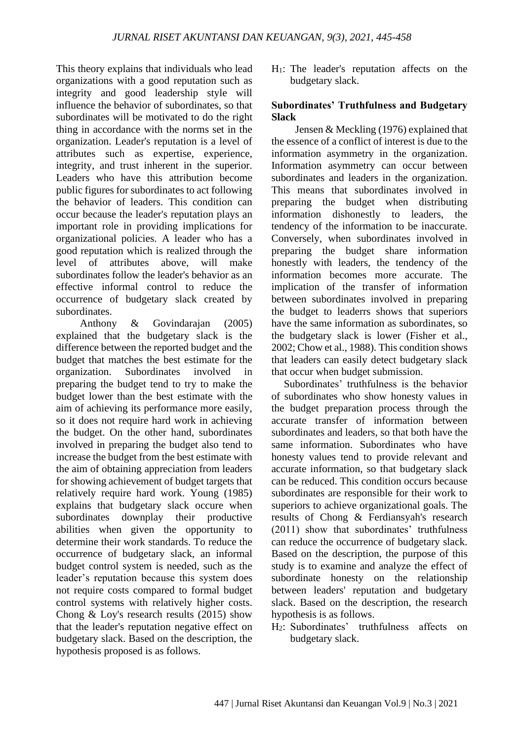This theory explains that individuals who lead organizations with a good reputation such as integrity and good leadership style will influence the behavior of subordinates, so that subordinates will be motivated to do the right thing in accordance with the norms set in the organization. Leader's reputation is a level of attributes such as expertise, experience, integrity, and trust inherent in the superior. Leaders who have this attribution become public figures for subordinates to act following the behavior of leaders. This condition can occur because the leader's reputation plays an important role in providing implications for organizational policies. A leader who has a good reputation which is realized through the level of attributes above, will make subordinates follow the leader's behavior as an effective informal control to reduce the occurrence of budgetary slack created by subordinates.

Anthony & Govindarajan (2005) explained that the budgetary slack is the difference between the reported budget and the budget that matches the best estimate for the organization. Subordinates involved in preparing the budget tend to try to make the budget lower than the best estimate with the aim of achieving its performance more easily, so it does not require hard work in achieving the budget. On the other hand, subordinates involved in preparing the budget also tend to increase the budget from the best estimate with the aim of obtaining appreciation from leaders for showing achievement of budget targets that relatively require hard work. Young (1985) explains that budgetary slack occure when subordinates downplay their productive abilities when given the opportunity to determine their work standards. To reduce the occurrence of budgetary slack, an informal budget control system is needed, such as the leader's reputation because this system does not require costs compared to formal budget control systems with relatively higher costs. Chong & Loy's research results (2015) show that the leader's reputation negative effect on budgetary slack. Based on the description, the hypothesis proposed is as follows.

 $H_1$ : The leader's reputation affects on the budgetary slack.

### **Subordinates' Truthfulness and Budgetary Slack**

Jensen & Meckling (1976) explained that the essence of a conflict of interest is due to the information asymmetry in the organization. Information asymmetry can occur between subordinates and leaders in the organization. This means that subordinates involved in preparing the budget when distributing information dishonestly to leaders, the tendency of the information to be inaccurate. Conversely, when subordinates involved in preparing the budget share information honestly with leaders, the tendency of the information becomes more accurate. The implication of the transfer of information between subordinates involved in preparing the budget to leaderrs shows that superiors have the same information as subordinates, so the budgetary slack is lower (Fisher et al., 2002; Chow et al., 1988). This condition shows that leaders can easily detect budgetary slack that occur when budget submission.

Subordinates' truthfulness is the behavior of subordinates who show honesty values in the budget preparation process through the accurate transfer of information between subordinates and leaders, so that both have the same information. Subordinates who have honesty values tend to provide relevant and accurate information, so that budgetary slack can be reduced. This condition occurs because subordinates are responsible for their work to superiors to achieve organizational goals. The results of Chong & Ferdiansyah's research (2011) show that subordinates' truthfulness can reduce the occurrence of budgetary slack. Based on the description, the purpose of this study is to examine and analyze the effect of subordinate honesty on the relationship between leaders' reputation and budgetary slack. Based on the description, the research hypothesis is as follows.

H2: Subordinates' truthfulness affects on budgetary slack.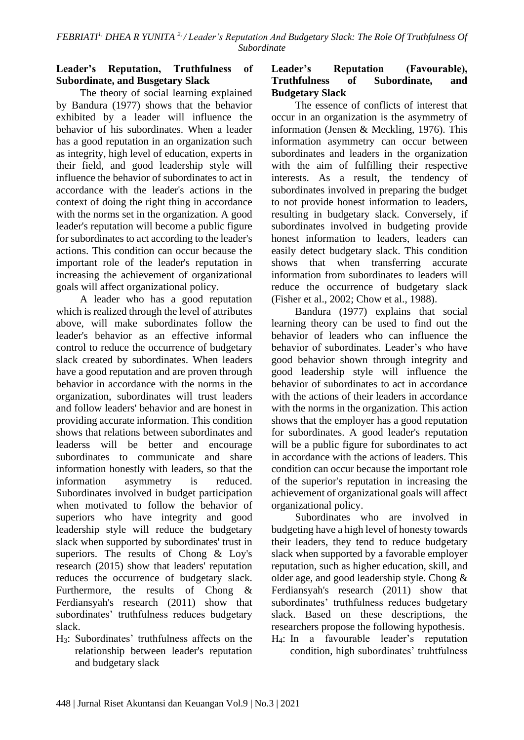## **Leader's Reputation, Truthfulness of Subordinate, and Busgetary Slack**

The theory of social learning explained by Bandura (1977) shows that the behavior exhibited by a leader will influence the behavior of his subordinates. When a leader has a good reputation in an organization such as integrity, high level of education, experts in their field, and good leadership style will influence the behavior of subordinates to act in accordance with the leader's actions in the context of doing the right thing in accordance with the norms set in the organization. A good leader's reputation will become a public figure for subordinates to act according to the leader's actions. This condition can occur because the important role of the leader's reputation in increasing the achievement of organizational goals will affect organizational policy.

A leader who has a good reputation which is realized through the level of attributes above, will make subordinates follow the leader's behavior as an effective informal control to reduce the occurrence of budgetary slack created by subordinates. When leaders have a good reputation and are proven through behavior in accordance with the norms in the organization, subordinates will trust leaders and follow leaders' behavior and are honest in providing accurate information. This condition shows that relations between subordinates and leaderss will be better and encourage subordinates to communicate and share information honestly with leaders, so that the information asymmetry is reduced. Subordinates involved in budget participation when motivated to follow the behavior of superiors who have integrity and good leadership style will reduce the budgetary slack when supported by subordinates' trust in superiors. The results of Chong & Loy's research (2015) show that leaders' reputation reduces the occurrence of budgetary slack. Furthermore, the results of Chong & Ferdiansyah's research (2011) show that subordinates' truthfulness reduces budgetary slack.

H3: Subordinates' truthfulness affects on the relationship between leader's reputation and budgetary slack

## **Leader's Reputation (Favourable), Truthfulness of Subordinate, and Budgetary Slack**

The essence of conflicts of interest that occur in an organization is the asymmetry of information (Jensen & Meckling, 1976). This information asymmetry can occur between subordinates and leaders in the organization with the aim of fulfilling their respective interests. As a result, the tendency of subordinates involved in preparing the budget to not provide honest information to leaders, resulting in budgetary slack. Conversely, if subordinates involved in budgeting provide honest information to leaders, leaders can easily detect budgetary slack. This condition shows that when transferring accurate information from subordinates to leaders will reduce the occurrence of budgetary slack (Fisher et al., 2002; Chow et al., 1988).

Bandura (1977) explains that social learning theory can be used to find out the behavior of leaders who can influence the behavior of subordinates. Leader's who have good behavior shown through integrity and good leadership style will influence the behavior of subordinates to act in accordance with the actions of their leaders in accordance with the norms in the organization. This action shows that the employer has a good reputation for subordinates. A good leader's reputation will be a public figure for subordinates to act in accordance with the actions of leaders. This condition can occur because the important role of the superior's reputation in increasing the achievement of organizational goals will affect organizational policy.

Subordinates who are involved in budgeting have a high level of honesty towards their leaders, they tend to reduce budgetary slack when supported by a favorable employer reputation, such as higher education, skill, and older age, and good leadership style. Chong & Ferdiansyah's research (2011) show that subordinates' truthfulness reduces budgetary slack. Based on these descriptions, the researchers propose the following hypothesis.

H4: In a favourable leader's reputation condition, high subordinates' truhtfulness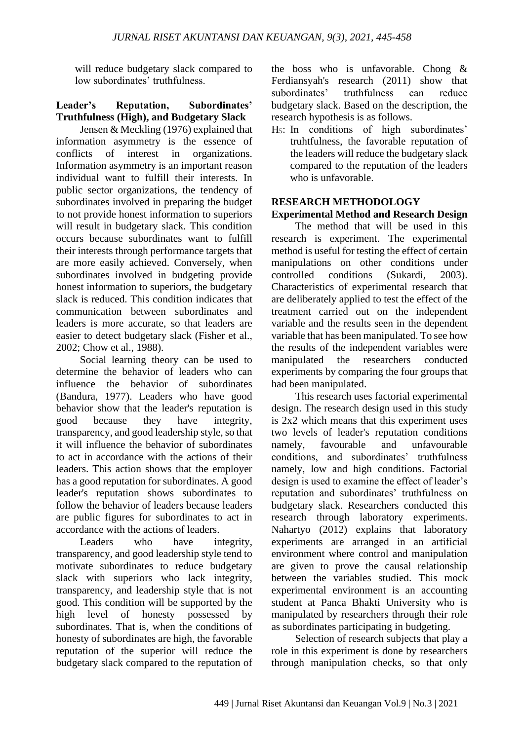will reduce budgetary slack compared to low subordinates' truthfulness.

## **Leader's Reputation, Subordinates' Truthfulness (High), and Budgetary Slack**

Jensen & Meckling (1976) explained that information asymmetry is the essence of conflicts of interest in organizations. Information asymmetry is an important reason individual want to fulfill their interests. In public sector organizations, the tendency of subordinates involved in preparing the budget to not provide honest information to superiors will result in budgetary slack. This condition occurs because subordinates want to fulfill their interests through performance targets that are more easily achieved. Conversely, when subordinates involved in budgeting provide honest information to superiors, the budgetary slack is reduced. This condition indicates that communication between subordinates and leaders is more accurate, so that leaders are easier to detect budgetary slack (Fisher et al., 2002; Chow et al., 1988).

Social learning theory can be used to determine the behavior of leaders who can influence the behavior of subordinates (Bandura, 1977). Leaders who have good behavior show that the leader's reputation is<br>good because they have integrity. because they have integrity. transparency, and good leadership style, so that it will influence the behavior of subordinates to act in accordance with the actions of their leaders. This action shows that the employer has a good reputation for subordinates. A good leader's reputation shows subordinates to follow the behavior of leaders because leaders are public figures for subordinates to act in accordance with the actions of leaders.

Leaders who have integrity, transparency, and good leadership style tend to motivate subordinates to reduce budgetary slack with superiors who lack integrity, transparency, and leadership style that is not good. This condition will be supported by the high level of honesty possessed by subordinates. That is, when the conditions of honesty of subordinates are high, the favorable reputation of the superior will reduce the budgetary slack compared to the reputation of the boss who is unfavorable. Chong & Ferdiansyah's research (2011) show that subordinates' truthfulness can reduce budgetary slack. Based on the description, the research hypothesis is as follows.

H5: In conditions of high subordinates' truhtfulness, the favorable reputation of the leaders will reduce the budgetary slack compared to the reputation of the leaders who is unfavorable.

## **RESEARCH METHODOLOGY**

## **Experimental Method and Research Design**

The method that will be used in this research is experiment. The experimental method is useful for testing the effect of certain manipulations on other conditions under controlled conditions (Sukardi, 2003). Characteristics of experimental research that are deliberately applied to test the effect of the treatment carried out on the independent variable and the results seen in the dependent variable that has been manipulated. To see how the results of the independent variables were manipulated the researchers conducted experiments by comparing the four groups that had been manipulated.

This research uses factorial experimental design. The research design used in this study is 2x2 which means that this experiment uses two levels of leader's reputation conditions namely, favourable and unfavourable conditions, and subordinates' truthfulness namely, low and high conditions. Factorial design is used to examine the effect of leader's reputation and subordinates' truthfulness on budgetary slack. Researchers conducted this research through laboratory experiments. Nahartyo (2012) explains that laboratory experiments are arranged in an artificial environment where control and manipulation are given to prove the causal relationship between the variables studied. This mock experimental environment is an accounting student at Panca Bhakti University who is manipulated by researchers through their role as subordinates participating in budgeting.

Selection of research subjects that play a role in this experiment is done by researchers through manipulation checks, so that only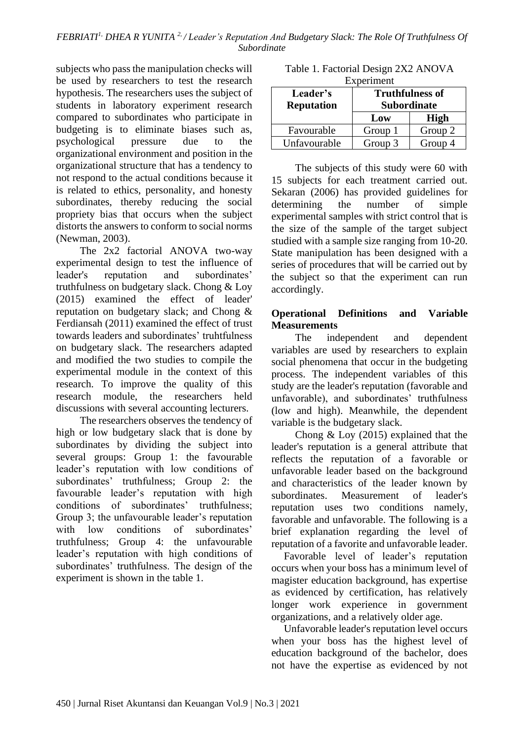subjects who pass the manipulation checks will be used by researchers to test the research hypothesis. The researchers uses the subject of students in laboratory experiment research compared to subordinates who participate in budgeting is to eliminate biases such as, psychological pressure due to the organizational environment and position in the organizational structure that has a tendency to not respond to the actual conditions because it is related to ethics, personality, and honesty subordinates, thereby reducing the social propriety bias that occurs when the subject distorts the answers to conform to social norms (Newman, 2003).

The 2x2 factorial ANOVA two-way experimental design to test the influence of leader's reputation and subordinates' truthfulness on budgetary slack. Chong & Loy (2015) examined the effect of leader' reputation on budgetary slack; and Chong & Ferdiansah (2011) examined the effect of trust towards leaders and subordinates' truhtfulness on budgetary slack. The researchers adapted and modified the two studies to compile the experimental module in the context of this research. To improve the quality of this research module, the researchers held discussions with several accounting lecturers.

The researchers observes the tendency of high or low budgetary slack that is done by subordinates by dividing the subject into several groups: Group 1: the favourable leader's reputation with low conditions of subordinates' truthfulness; Group 2: the favourable leader's reputation with high conditions of subordinates' truthfulness; Group 3; the unfavourable leader's reputation with low conditions of subordinates' truthfulness; Group 4: the unfavourable leader's reputation with high conditions of subordinates' truthfulness. The design of the experiment is shown in the table 1.

| LADUIIIIUII       |                        |             |  |  |
|-------------------|------------------------|-------------|--|--|
| Leader's          | <b>Truthfulness of</b> |             |  |  |
| <b>Reputation</b> | <b>Subordinate</b>     |             |  |  |
|                   | Low                    | <b>High</b> |  |  |
| Favourable        | Group 1                | Group 2     |  |  |
| Unfavourable      | Group 3                | Group 4     |  |  |

Table 1. Factorial Design 2X2 ANOVA Experiment

The subjects of this study were 60 with 15 subjects for each treatment carried out. Sekaran (2006) has provided guidelines for determining the number of simple experimental samples with strict control that is the size of the sample of the target subject studied with a sample size ranging from 10-20. State manipulation has been designed with a series of procedures that will be carried out by the subject so that the experiment can run accordingly.

## **Operational Definitions and Variable Measurements**

The independent and dependent variables are used by researchers to explain social phenomena that occur in the budgeting process. The independent variables of this study are the leader's reputation (favorable and unfavorable), and subordinates' truthfulness (low and high). Meanwhile, the dependent variable is the budgetary slack.

Chong & Loy (2015) explained that the leader's reputation is a general attribute that reflects the reputation of a favorable or unfavorable leader based on the background and characteristics of the leader known by subordinates. Measurement of leader's reputation uses two conditions namely, favorable and unfavorable. The following is a brief explanation regarding the level of reputation of a favorite and unfavorable leader.

Favorable level of leader's reputation occurs when your boss has a minimum level of magister education background, has expertise as evidenced by certification, has relatively longer work experience in government organizations, and a relatively older age.

Unfavorable leader's reputation level occurs when your boss has the highest level of education background of the bachelor, does not have the expertise as evidenced by not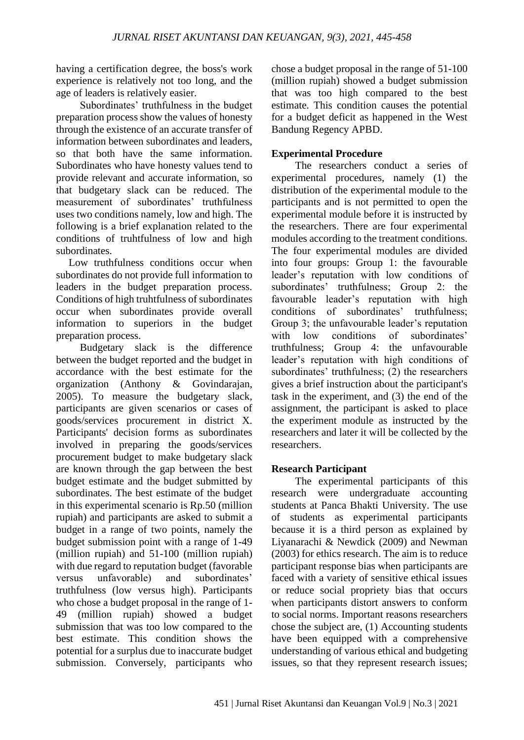having a certification degree, the boss's work experience is relatively not too long, and the age of leaders is relatively easier.

Subordinates' truthfulness in the budget preparation process show the values of honesty through the existence of an accurate transfer of information between subordinates and leaders, so that both have the same information. Subordinates who have honesty values tend to provide relevant and accurate information, so that budgetary slack can be reduced. The measurement of subordinates' truthfulness uses two conditions namely, low and high. The following is a brief explanation related to the conditions of truhtfulness of low and high subordinates.

Low truthfulness conditions occur when subordinates do not provide full information to leaders in the budget preparation process. Conditions of high truhtfulness of subordinates occur when subordinates provide overall information to superiors in the budget preparation process.

Budgetary slack is the difference between the budget reported and the budget in accordance with the best estimate for the organization (Anthony & Govindarajan, 2005). To measure the budgetary slack, participants are given scenarios or cases of goods/services procurement in district X. Participants' decision forms as subordinates involved in preparing the goods/services procurement budget to make budgetary slack are known through the gap between the best budget estimate and the budget submitted by subordinates. The best estimate of the budget in this experimental scenario is Rp.50 (million rupiah) and participants are asked to submit a budget in a range of two points, namely the budget submission point with a range of 1-49 (million rupiah) and 51-100 (million rupiah) with due regard to reputation budget (favorable versus unfavorable) and subordinates' truthfulness (low versus high). Participants who chose a budget proposal in the range of 1- 49 (million rupiah) showed a budget submission that was too low compared to the best estimate. This condition shows the potential for a surplus due to inaccurate budget submission. Conversely, participants who

chose a budget proposal in the range of 51-100 (million rupiah) showed a budget submission that was too high compared to the best estimate. This condition causes the potential for a budget deficit as happened in the West Bandung Regency APBD.

## **Experimental Procedure**

The researchers conduct a series of experimental procedures, namely (1) the distribution of the experimental module to the participants and is not permitted to open the experimental module before it is instructed by the researchers. There are four experimental modules according to the treatment conditions. The four experimental modules are divided into four groups: Group 1: the favourable leader's reputation with low conditions of subordinates' truthfulness; Group 2: the favourable leader's reputation with high conditions of subordinates' truthfulness; Group 3; the unfavourable leader's reputation with low conditions of subordinates' truthfulness; Group 4: the unfavourable leader's reputation with high conditions of subordinates' truthfulness; (2) the researchers gives a brief instruction about the participant's task in the experiment, and (3) the end of the assignment, the participant is asked to place the experiment module as instructed by the researchers and later it will be collected by the researchers.

## **Research Participant**

The experimental participants of this research were undergraduate accounting students at Panca Bhakti University. The use of students as experimental participants because it is a third person as explained by Liyanarachi & Newdick (2009) and Newman (2003) for ethics research. The aim is to reduce participant response bias when participants are faced with a variety of sensitive ethical issues or reduce social propriety bias that occurs when participants distort answers to conform to social norms. Important reasons researchers chose the subject are, (1) Accounting students have been equipped with a comprehensive understanding of various ethical and budgeting issues, so that they represent research issues;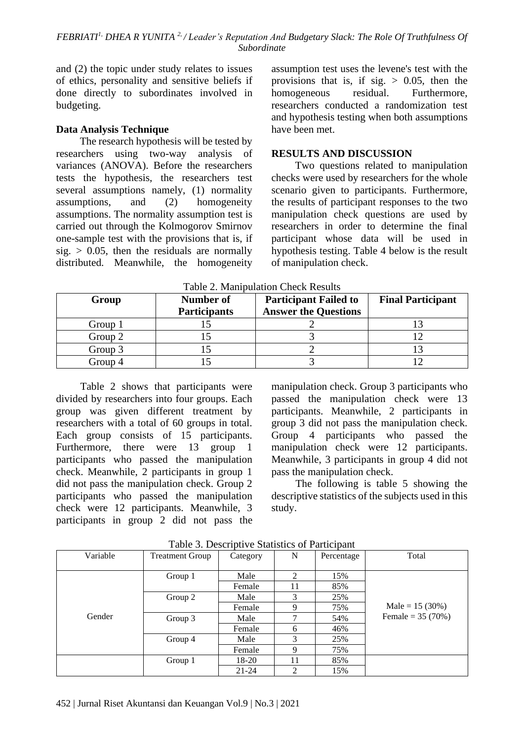and (2) the topic under study relates to issues of ethics, personality and sensitive beliefs if done directly to subordinates involved in budgeting.

### **Data Analysis Technique**

The research hypothesis will be tested by researchers using two-way analysis of variances (ANOVA). Before the researchers tests the hypothesis, the researchers test several assumptions namely, (1) normality assumptions, and (2) homogeneity assumptions. The normality assumption test is carried out through the Kolmogorov Smirnov one-sample test with the provisions that is, if sig.  $> 0.05$ , then the residuals are normally distributed. Meanwhile, the homogeneity assumption test uses the levene's test with the provisions that is, if sig.  $> 0.05$ , then the homogeneous residual. Furthermore, researchers conducted a randomization test and hypothesis testing when both assumptions have been met.

## **RESULTS AND DISCUSSION**

Two questions related to manipulation checks were used by researchers for the whole scenario given to participants. Furthermore, the results of participant responses to the two manipulation check questions are used by researchers in order to determine the final participant whose data will be used in hypothesis testing. Table 4 below is the result of manipulation check.

| Group   | <b>Participant Failed to</b><br>Number of<br><b>Answer the Questions</b><br><b>Participants</b> |  | <b>Final Participant</b> |
|---------|-------------------------------------------------------------------------------------------------|--|--------------------------|
| Group 1 |                                                                                                 |  |                          |
| Group 2 |                                                                                                 |  |                          |
| Group 3 |                                                                                                 |  |                          |
| Group 4 |                                                                                                 |  |                          |

Table 2. Manipulation Check Results

Table 2 shows that participants were divided by researchers into four groups. Each group was given different treatment by researchers with a total of 60 groups in total. Each group consists of 15 participants. Furthermore, there were 13 group 1 participants who passed the manipulation check. Meanwhile, 2 participants in group 1 did not pass the manipulation check. Group 2 participants who passed the manipulation check were 12 participants. Meanwhile, 3 participants in group 2 did not pass the

manipulation check. Group 3 participants who passed the manipulation check were 13 participants. Meanwhile, 2 participants in group 3 did not pass the manipulation check. Group 4 participants who passed the manipulation check were 12 participants. Meanwhile, 3 participants in group 4 did not pass the manipulation check.

The following is table 5 showing the descriptive statistics of the subjects used in this study.

| Variable | <b>Treatment Group</b> | Category  | N  | Percentage | Total              |
|----------|------------------------|-----------|----|------------|--------------------|
|          |                        |           |    |            |                    |
|          | Group 1                | Male      | 2  | 15%        |                    |
|          |                        | Female    | 11 | 85%        |                    |
|          | Group 2                | Male      | 3  | 25%        |                    |
|          |                        | Female    | 9  | 75%        | Male = $15(30%)$   |
| Gender   | Group 3                | Male      | ┑  | 54%        | Female = $35(70%)$ |
|          |                        | Female    | 6  | 46%        |                    |
|          | Group 4                | Male      | 3  | 25%        |                    |
|          |                        | Female    | 9  | 75%        |                    |
|          | Group 1                | 18-20     | 11 | 85%        |                    |
|          |                        | $21 - 24$ | 2  | 15%        |                    |

Table 3. Descriptive Statistics of Participant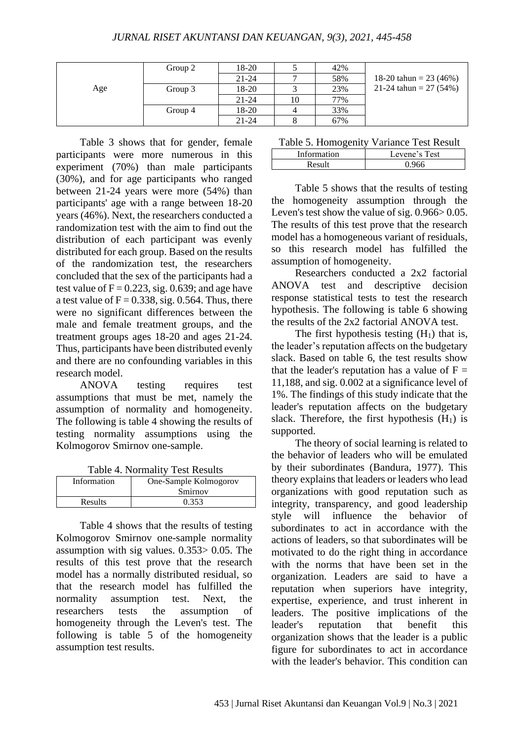|     | Group 2 | 18-20     |    | 42% |                           |
|-----|---------|-----------|----|-----|---------------------------|
|     |         | $21 - 24$ |    | 58% | 18-20 tahun = 23 $(46\%)$ |
| Age | Group 3 | 18-20     |    | 23% | 21-24 tahun = 27 (54%)    |
|     |         | $21 - 24$ | 10 | 77% |                           |
|     | Group 4 | 18-20     |    | 33% |                           |
|     |         | $21 - 24$ |    | 67% |                           |

Table 3 shows that for gender, female participants were more numerous in this experiment (70%) than male participants (30%), and for age participants who ranged between 21-24 years were more (54%) than participants' age with a range between 18-20 years (46%). Next, the researchers conducted a randomization test with the aim to find out the distribution of each participant was evenly distributed for each group. Based on the results of the randomization test, the researchers concluded that the sex of the participants had a test value of  $F = 0.223$ , sig. 0.639; and age have a test value of  $F = 0.338$ , sig. 0.564. Thus, there were no significant differences between the male and female treatment groups, and the treatment groups ages 18-20 and ages 21-24. Thus, participants have been distributed evenly and there are no confounding variables in this research model.

ANOVA testing requires test assumptions that must be met, namely the assumption of normality and homogeneity. The following is table 4 showing the results of testing normality assumptions using the Kolmogorov Smirnov one-sample.

Table 4. Normality Test Results

| Information    | One-Sample Kolmogorov |  |
|----------------|-----------------------|--|
|                | Smirnov               |  |
| <b>Results</b> | 0.353                 |  |

Table 4 shows that the results of testing Kolmogorov Smirnov one-sample normality assumption with sig values. 0.353> 0.05. The results of this test prove that the research model has a normally distributed residual, so that the research model has fulfilled the normality assumption test. Next, the researchers tests the assumption of homogeneity through the Leven's test. The following is table 5 of the homogeneity assumption test results.

| Information | Levene's Test |  |
|-------------|---------------|--|
| Res         |               |  |

Table 5 shows that the results of testing the homogeneity assumption through the Leven's test show the value of sig.  $0.966 > 0.05$ . The results of this test prove that the research model has a homogeneous variant of residuals, so this research model has fulfilled the assumption of homogeneity.

Researchers conducted a 2x2 factorial ANOVA test and descriptive decision response statistical tests to test the research hypothesis. The following is table 6 showing the results of the 2x2 factorial ANOVA test.

The first hypothesis testing  $(H_1)$  that is, the leader's reputation affects on the budgetary slack. Based on table 6, the test results show that the leader's reputation has a value of  $F =$ 11,188, and sig. 0.002 at a significance level of 1%. The findings of this study indicate that the leader's reputation affects on the budgetary slack. Therefore, the first hypothesis  $(H_1)$  is supported.

The theory of social learning is related to the behavior of leaders who will be emulated by their subordinates (Bandura, 1977). This theory explains that leaders or leaders who lead organizations with good reputation such as integrity, transparency, and good leadership style will influence the behavior of subordinates to act in accordance with the actions of leaders, so that subordinates will be motivated to do the right thing in accordance with the norms that have been set in the organization. Leaders are said to have a reputation when superiors have integrity, expertise, experience, and trust inherent in leaders. The positive implications of the leader's reputation that benefit this organization shows that the leader is a public figure for subordinates to act in accordance with the leader's behavior. This condition can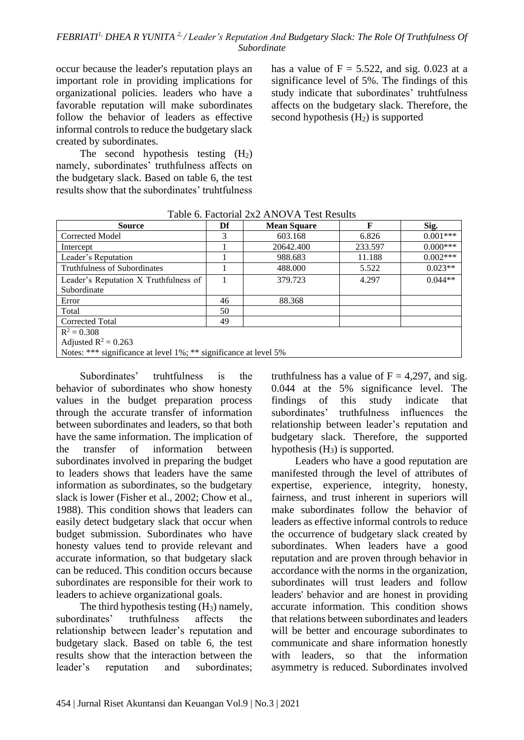occur because the leader's reputation plays an important role in providing implications for organizational policies. leaders who have a favorable reputation will make subordinates follow the behavior of leaders as effective informal controls to reduce the budgetary slack created by subordinates.

The second hypothesis testing  $(H_2)$ namely, subordinates' truthfulness affects on the budgetary slack. Based on table 6, the test results show that the subordinates' truhtfulness

has a value of  $F = 5.522$ , and sig. 0.023 at a significance level of 5%. The findings of this study indicate that subordinates' truhtfulness affects on the budgetary slack. Therefore, the second hypothesis  $(H<sub>2</sub>)$  is supported

| <b>Source</b>                         | Df | <b>Mean Square</b> | F       | Sig.       |
|---------------------------------------|----|--------------------|---------|------------|
| Corrected Model                       | 3  | 603.168            | 6.826   | $0.001***$ |
| Intercept                             |    | 20642.400          | 233.597 | $0.000***$ |
| Leader's Reputation                   |    | 988.683            | 11.188  | $0.002***$ |
| <b>Truthfulness of Subordinates</b>   |    | 488.000            | 5.522   | $0.023**$  |
| Leader's Reputation X Truthfulness of |    | 379.723            | 4.297   | $0.044**$  |
| Subordinate                           |    |                    |         |            |
| Error                                 | 46 | 88.368             |         |            |
| Total                                 | 50 |                    |         |            |
| Corrected Total                       | 49 |                    |         |            |
| $R^2 = 0.308$                         |    |                    |         |            |
| Adjusted $R^2 = 0.263$                |    |                    |         |            |

Table 6. Factorial 2x2 ANOVA Test Results

Notes: \*\*\* significance at level 1%; \*\* significance at level 5%

Subordinates' truhtfulness is the behavior of subordinates who show honesty values in the budget preparation process through the accurate transfer of information between subordinates and leaders, so that both have the same information. The implication of the transfer of information between subordinates involved in preparing the budget to leaders shows that leaders have the same information as subordinates, so the budgetary slack is lower (Fisher et al., 2002; Chow et al., 1988). This condition shows that leaders can easily detect budgetary slack that occur when budget submission. Subordinates who have honesty values tend to provide relevant and accurate information, so that budgetary slack can be reduced. This condition occurs because subordinates are responsible for their work to leaders to achieve organizational goals.

The third hypothesis testing  $(H_3)$  namely, subordinates' truthfulness affects the relationship between leader's reputation and budgetary slack. Based on table 6, the test results show that the interaction between the leader's reputation and subordinates;

truthfulness has a value of  $F = 4,297$ , and sig. 0.044 at the 5% significance level. The findings of this study indicate that subordinates' truthfulness influences the relationship between leader's reputation and budgetary slack. Therefore, the supported hypothesis  $(H_3)$  is supported.

Leaders who have a good reputation are manifested through the level of attributes of expertise, experience, integrity, honesty, fairness, and trust inherent in superiors will make subordinates follow the behavior of leaders as effective informal controls to reduce the occurrence of budgetary slack created by subordinates. When leaders have a good reputation and are proven through behavior in accordance with the norms in the organization, subordinates will trust leaders and follow leaders' behavior and are honest in providing accurate information. This condition shows that relations between subordinates and leaders will be better and encourage subordinates to communicate and share information honestly with leaders, so that the information asymmetry is reduced. Subordinates involved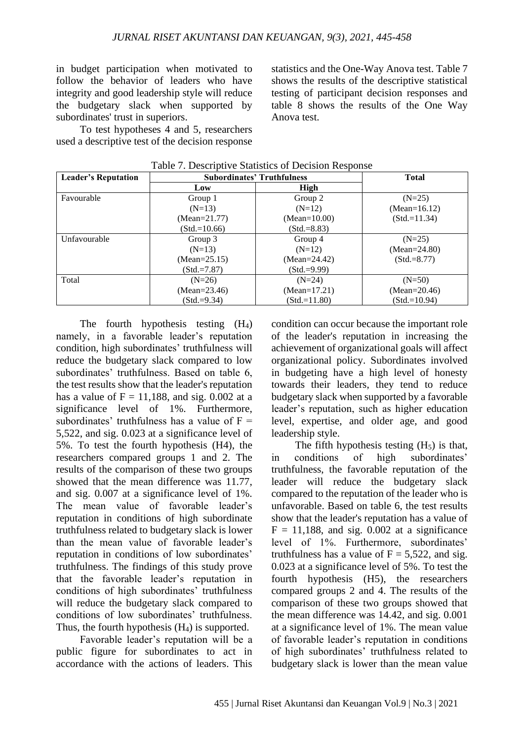in budget participation when motivated to follow the behavior of leaders who have integrity and good leadership style will reduce the budgetary slack when supported by subordinates' trust in superiors.

To test hypotheses 4 and 5, researchers used a descriptive test of the decision response statistics and the One-Way Anova test. Table 7 shows the results of the descriptive statistical testing of participant decision responses and table 8 shows the results of the One Way Anova test.

| <b>Leader's Reputation</b> | <b>Subordinates' Truthfulness</b> | <b>Total</b>     |                  |
|----------------------------|-----------------------------------|------------------|------------------|
|                            | Low                               | High             |                  |
| Favourable                 | Group 1                           | Group 2          | $(N=25)$         |
|                            | $(N=13)$                          | $(N=12)$         | (Mean= $16.12$ ) |
|                            | $(Mean = 21.77)$                  | $(Mean=10.00)$   | $(Std = 11.34)$  |
|                            | $(Std = 10.66)$                   | $(Std = 8.83)$   |                  |
| Unfavourable               | Group 3                           | Group 4          | $(N=25)$         |
|                            | $(N=13)$                          | $(N=12)$         | $(Mean = 24.80)$ |
|                            | $(Mean = 25.15)$                  | (Mean= $24.42$ ) | $(Std.=8.77)$    |
|                            | $(Std = 7.87)$                    | $(Std.=9.99)$    |                  |
| Total                      | $(N=26)$                          | $(N=24)$         | $(N=50)$         |
|                            | $(Mean = 23.46)$                  | (Mean= $17.21$ ) | $(Mean = 20.46)$ |
|                            | $(Std.=9.34)$                     | $(Std = 11.80)$  | $(Std = 10.94)$  |

Table 7. Descriptive Statistics of Decision Response

The fourth hypothesis testing (H4) namely, in a favorable leader's reputation condition, high subordinates' truthfulness will reduce the budgetary slack compared to low subordinates' truthfulness. Based on table 6, the test results show that the leader's reputation has a value of  $F = 11,188$ , and sig. 0.002 at a significance level of 1%. Furthermore, subordinates' truthfulness has a value of  $F =$ 5,522, and sig. 0.023 at a significance level of 5%. To test the fourth hypothesis (H4), the researchers compared groups 1 and 2. The results of the comparison of these two groups showed that the mean difference was 11.77, and sig. 0.007 at a significance level of 1%. The mean value of favorable leader's reputation in conditions of high subordinate truthfulness related to budgetary slack is lower than the mean value of favorable leader's reputation in conditions of low subordinates' truthfulness. The findings of this study prove that the favorable leader's reputation in conditions of high subordinates' truthfulness will reduce the budgetary slack compared to conditions of low subordinates' truthfulness. Thus, the fourth hypothesis  $(H_4)$  is supported.

Favorable leader's reputation will be a public figure for subordinates to act in accordance with the actions of leaders. This

condition can occur because the important role of the leader's reputation in increasing the achievement of organizational goals will affect organizational policy. Subordinates involved in budgeting have a high level of honesty towards their leaders, they tend to reduce budgetary slack when supported by a favorable leader's reputation, such as higher education level, expertise, and older age, and good leadership style.

The fifth hypothesis testing  $(H<sub>5</sub>)$  is that, in conditions of high subordinates' truthfulness, the favorable reputation of the leader will reduce the budgetary slack compared to the reputation of the leader who is unfavorable. Based on table 6, the test results show that the leader's reputation has a value of  $F = 11,188$ , and sig. 0.002 at a significance level of 1%. Furthermore, subordinates' truthfulness has a value of  $F = 5,522$ , and sig. 0.023 at a significance level of 5%. To test the fourth hypothesis (H5), the researchers compared groups 2 and 4. The results of the comparison of these two groups showed that the mean difference was 14.42, and sig. 0.001 at a significance level of 1%. The mean value of favorable leader's reputation in conditions of high subordinates' truthfulness related to budgetary slack is lower than the mean value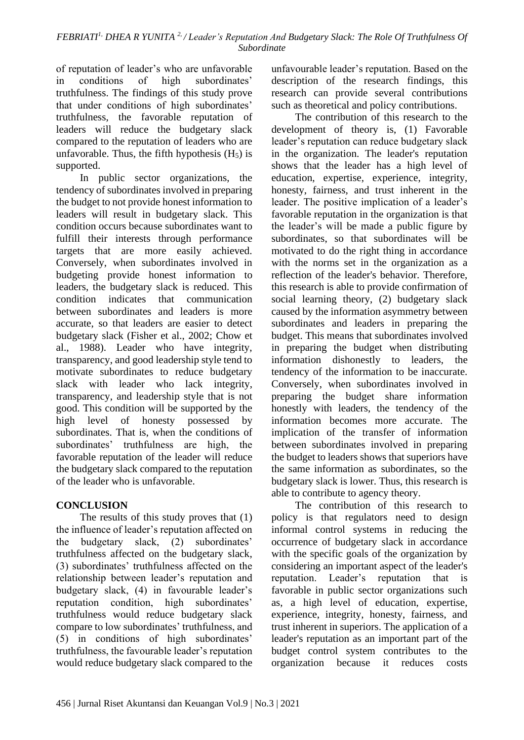of reputation of leader's who are unfavorable in conditions of high subordinates' truthfulness. The findings of this study prove that under conditions of high subordinates' truthfulness, the favorable reputation of leaders will reduce the budgetary slack compared to the reputation of leaders who are unfavorable. Thus, the fifth hypothesis  $(H<sub>5</sub>)$  is supported.

In public sector organizations, the tendency of subordinates involved in preparing the budget to not provide honest information to leaders will result in budgetary slack. This condition occurs because subordinates want to fulfill their interests through performance targets that are more easily achieved. Conversely, when subordinates involved in budgeting provide honest information to leaders, the budgetary slack is reduced. This condition indicates that communication between subordinates and leaders is more accurate, so that leaders are easier to detect budgetary slack (Fisher et al., 2002; Chow et al., 1988). Leader who have integrity, transparency, and good leadership style tend to motivate subordinates to reduce budgetary slack with leader who lack integrity, transparency, and leadership style that is not good. This condition will be supported by the high level of honesty possessed by subordinates. That is, when the conditions of subordinates' truthfulness are high, the favorable reputation of the leader will reduce the budgetary slack compared to the reputation of the leader who is unfavorable.

# **CONCLUSION**

The results of this study proves that (1) the influence of leader's reputation affected on the budgetary slack, (2) subordinates' truthfulness affected on the budgetary slack, (3) subordinates' truthfulness affected on the relationship between leader's reputation and budgetary slack, (4) in favourable leader's reputation condition, high subordinates' truthfulness would reduce budgetary slack compare to low subordinates' truthfulness, and (5) in conditions of high subordinates' truthfulness, the favourable leader's reputation would reduce budgetary slack compared to the

unfavourable leader's reputation. Based on the description of the research findings, this research can provide several contributions such as theoretical and policy contributions.

The contribution of this research to the development of theory is, (1) Favorable leader's reputation can reduce budgetary slack in the organization. The leader's reputation shows that the leader has a high level of education, expertise, experience, integrity, honesty, fairness, and trust inherent in the leader. The positive implication of a leader's favorable reputation in the organization is that the leader's will be made a public figure by subordinates, so that subordinates will be motivated to do the right thing in accordance with the norms set in the organization as a reflection of the leader's behavior. Therefore, this research is able to provide confirmation of social learning theory, (2) budgetary slack caused by the information asymmetry between subordinates and leaders in preparing the budget. This means that subordinates involved in preparing the budget when distributing information dishonestly to leaders, the tendency of the information to be inaccurate. Conversely, when subordinates involved in preparing the budget share information honestly with leaders, the tendency of the information becomes more accurate. The implication of the transfer of information between subordinates involved in preparing the budget to leaders shows that superiors have the same information as subordinates, so the budgetary slack is lower. Thus, this research is able to contribute to agency theory.

The contribution of this research to policy is that regulators need to design informal control systems in reducing the occurrence of budgetary slack in accordance with the specific goals of the organization by considering an important aspect of the leader's reputation. Leader's reputation that is favorable in public sector organizations such as, a high level of education, expertise, experience, integrity, honesty, fairness, and trust inherent in superiors. The application of a leader's reputation as an important part of the budget control system contributes to the organization because it reduces costs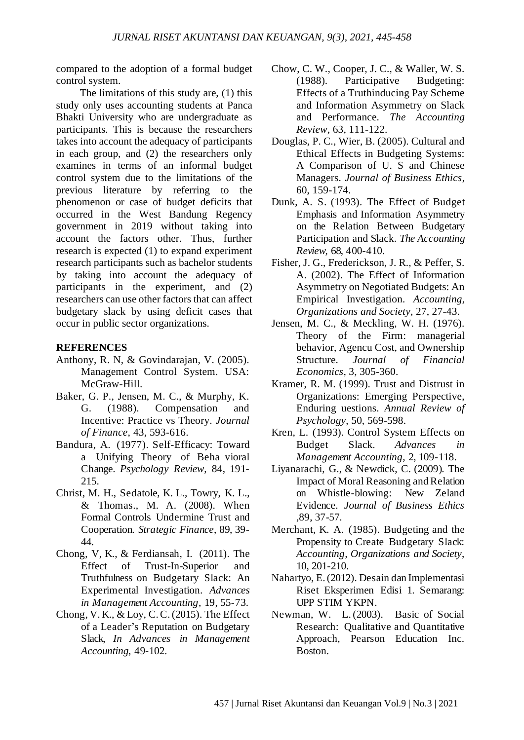compared to the adoption of a formal budget control system.

The limitations of this study are, (1) this study only uses accounting students at Panca Bhakti University who are undergraduate as participants. This is because the researchers takes into account the adequacy of participants in each group, and (2) the researchers only examines in terms of an informal budget control system due to the limitations of the previous literature by referring to the phenomenon or case of budget deficits that occurred in the West Bandung Regency government in 2019 without taking into account the factors other. Thus, further research is expected (1) to expand experiment research participants such as bachelor students by taking into account the adequacy of participants in the experiment, and (2) researchers can use other factors that can affect budgetary slack by using deficit cases that occur in public sector organizations.

## **REFERENCES**

- Anthony, R. N, & Govindarajan, V. (2005). Management Control System. USA: McGraw-Hill.
- Baker, G. P., Jensen, M. C., & Murphy, K. G. (1988). Compensation and Incentive: Practice vs Theory. *Journal of Finance*, 43, 593-616.
- Bandura, A. (1977). Self-Efficacy: Toward a Unifying Theory of Beha vioral Change. *Psychology Review*, 84, 191- 215.
- Christ, M. H., Sedatole, K. L., Towry, K. L., & Thomas., M. A. (2008). When Formal Controls Undermine Trust and Cooperation. *Strategic Finance*, 89, 39- 44.
- Chong, V, K., & Ferdiansah, I. (2011). The Effect of Trust-In-Superior and Truthfulness on Budgetary Slack: An Experimental Investigation. *Advances in Management Accounting*, 19, 55-73.
- Chong, V. K., & Loy, C.C.(2015). The Effect of a Leader's Reputation on Budgetary Slack, *In Advances in Management Accounting*, 49-102.
- Chow, C. W., Cooper, J. C., & Waller, W. S. (1988). Participative Budgeting: Effects of a Truthinducing Pay Scheme and Information Asymmetry on Slack and Performance. *The Accounting Review*, 63, 111-122.
- Douglas, P. C., Wier, B. (2005). Cultural and Ethical Effects in Budgeting Systems: A Comparison of U. S and Chinese Managers. *Journal of Business Ethics*, 60, 159-174.
- Dunk, A. S. (1993). The Effect of Budget Emphasis and Information Asymmetry on the Relation Between Budgetary Participation and Slack. *The Accounting Review*, 68, 400-410.
- Fisher, J. G., Frederickson, J. R., & Peffer, S. A. (2002). The Effect of Information Asymmetry on Negotiated Budgets: An Empirical Investigation. *Accounting, Organizations and Society*, 27, 27-43.
- Jensen, M. C., & Meckling, W. H. (1976). Theory of the Firm: managerial behavior, Agencu Cost, and Ownership Structure. *Journal of Financial Economics*, 3, 305-360.
- Kramer, R. M. (1999). Trust and Distrust in Organizations: Emerging Perspective, Enduring uestions. *Annual Review of Psychology*, 50, 569-598.
- Kren, L. (1993). Control System Effects on Budget Slack. *Advances in Management Accounting*, 2, 109-118.
- Liyanarachi, G., & Newdick, C. (2009). The Impact of Moral Reasoning and Relation on Whistle-blowing: New Zeland Evidence. *Journal of Business Ethics* ,89, 37-57.
- Merchant, K. A. (1985). Budgeting and the Propensity to Create Budgetary Slack: *Accounting, Organizations and Society*, 10, 201-210.
- Nahartyo, E.(2012). Desain dan Implementasi Riset Eksperimen Edisi 1. Semarang: UPP STIM YKPN.
- Newman, W. L.(2003). Basic of Social Research: Qualitative and Quantitative Approach, Pearson Education Inc. Boston.